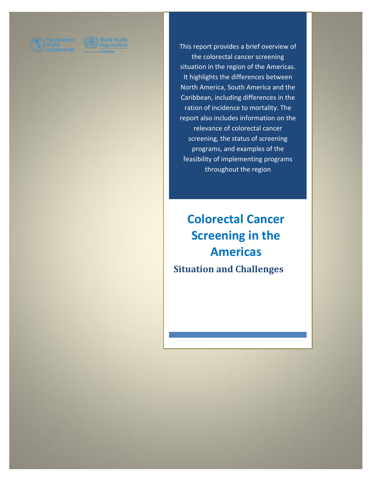

This report provides a brief overview of the colorectal cancer screening situation in the region of the Americas. It highlights the differences between North America, South America and the Caribbean, including differences in the ration of incidence to mortality. The report also includes information on the relevance of colorectal cancer screening, the status of screening programs, and examples of the feasibility of implementing programs throughout the region

# **Colorectal Cancer Screening in the Americas Situation and Challenges**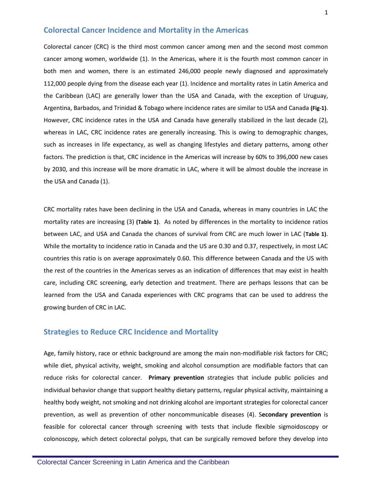# **Colorectal Cancer Incidence and Mortality in the Americas**

Colorectal cancer (CRC) is the third most common cancer among men and the second most common cancer among women, worldwide (1). In the Americas, where it is the fourth most common cancer in both men and women, there is an estimated 246,000 people newly diagnosed and approximately 112,000 people dying from the disease each year (1). Incidence and mortality rates in Latin America and the Caribbean (LAC) are generally lower than the USA and Canada, with the exception of Uruguay, Argentina, Barbados, and Trinidad & Tobago where incidence rates are similar to USA and Canada **(Fig-1)**. However, CRC incidence rates in the USA and Canada have generally stabilized in the last decade (2), whereas in LAC, CRC incidence rates are generally increasing. This is owing to demographic changes, such as increases in life expectancy, as well as changing lifestyles and dietary patterns, among other factors. The prediction is that, CRC incidence in the Americas will increase by 60% to 396,000 new cases by 2030, and this increase will be more dramatic in LAC, where it will be almost double the increase in the USA and Canada (1).

CRC mortality rates have been declining in the USA and Canada, whereas in many countries in LAC the mortality rates are increasing (3) **(Table 1)**. As noted by differences in the mortality to incidence ratios between LAC, and USA and Canada the chances of survival from CRC are much lower in LAC (**Table 1)**. While the mortality to incidence ratio in Canada and the US are 0.30 and 0.37, respectively, in most LAC countries this ratio is on average approximately 0.60. This difference between Canada and the US with the rest of the countries in the Americas serves as an indication of differences that may exist in health care, including CRC screening, early detection and treatment. There are perhaps lessons that can be learned from the USA and Canada experiences with CRC programs that can be used to address the growing burden of CRC in LAC.

### **Strategies to Reduce CRC Incidence and Mortality**

Age, family history, race or ethnic background are among the main non-modifiable risk factors for CRC; while diet, physical activity, weight, smoking and alcohol consumption are modifiable factors that can reduce risks for colorectal cancer. **Primary prevention** strategies that include public policies and individual behavior change that support healthy dietary patterns, regular physical activity, maintaining a healthy body weight, not smoking and not drinking alcohol are important strategies for colorectal cancer prevention, as well as prevention of other noncommunicable diseases (4). S**econdary prevention** is feasible for colorectal cancer through screening with tests that include flexible sigmoidoscopy or colonoscopy, which detect colorectal polyps, that can be surgically removed before they develop into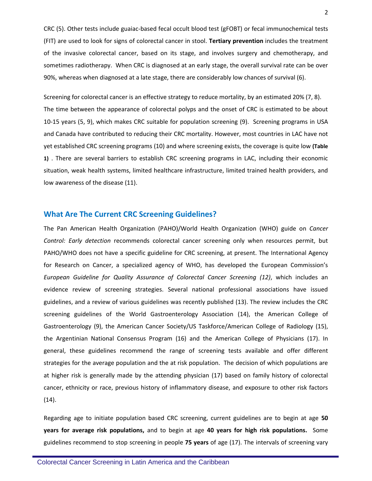CRC (5). Other tests include guaiac-based fecal occult blood test (gFOBT) or fecal immunochemical tests (FIT) are used to look for signs of colorectal cancer in stool. **Tertiary prevention** includes the treatment of the invasive colorectal cancer, based on its stage, and involves surgery and chemotherapy, and sometimes radiotherapy. When CRC is diagnosed at an early stage, the overall survival rate can be over 90%, whereas when diagnosed at a late stage, there are considerably low chances of survival (6).

Screening for colorectal cancer is an effective strategy to reduce mortality, by an estimated 20% (7, 8). The time between the appearance of colorectal polyps and the onset of CRC is estimated to be about 10-15 years (5, 9), which makes CRC suitable for population screening (9). Screening programs in USA and Canada have contributed to reducing their CRC mortality. However, most countries in LAC have not yet established CRC screening programs (10) and where screening exists, the coverage is quite low **(Table 1)** . There are several barriers to establish CRC screening programs in LAC, including their economic situation, weak health systems, limited healthcare infrastructure, limited trained health providers, and low awareness of the disease (11).

#### **What Are The Current CRC Screening Guidelines?**

The Pan American Health Organization (PAHO)/World Health Organization (WHO) guide on *Cancer Control: Early detection* recommends colorectal cancer screening only when resources permit, but PAHO/WHO does not have a specific guideline for CRC screening, at present. The International Agency for Research on Cancer, a specialized agency of WHO, has developed the European Commission's *European Guideline for Quality Assurance of Colorectal Cancer Screening (12)*, which includes an evidence review of screening strategies. Several national professional associations have issued guidelines, and a review of various guidelines was recently published (13). The review includes the CRC screening guidelines of the World Gastroenterology Association (14), the American College of Gastroenterology (9), the American Cancer Society/US Taskforce/American College of Radiology (15), the Argentinian National Consensus Program (16) and the American College of Physicians (17). In general, these guidelines recommend the range of screening tests available and offer different strategies for the average population and the at risk population. The decision of which populations are at higher risk is generally made by the attending physician (17) based on family history of colorectal cancer, ethnicity or race, previous history of inflammatory disease, and exposure to other risk factors  $(14).$ 

Regarding age to initiate population based CRC screening, current guidelines are to begin at age **50 years for average risk populations,** and to begin at age **40 years for high risk populations.** Some guidelines recommend to stop screening in people **75 years** of age (17). The intervals of screening vary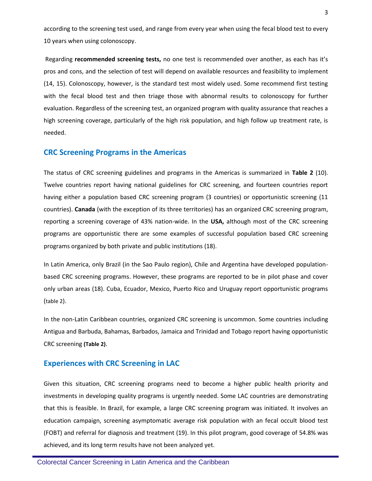according to the screening test used, and range from every year when using the fecal blood test to every 10 years when using colonoscopy.

Regarding **recommended screening tests,** no one test is recommended over another, as each has it's pros and cons, and the selection of test will depend on available resources and feasibility to implement (14, 15). Colonoscopy, however, is the standard test most widely used. Some recommend first testing with the fecal blood test and then triage those with abnormal results to colonoscopy for further evaluation. Regardless of the screening test, an organized program with quality assurance that reaches a high screening coverage, particularly of the high risk population, and high follow up treatment rate, is needed.

#### **CRC Screening Programs in the Americas**

The status of CRC screening guidelines and programs in the Americas is summarized in **Table 2** (10). Twelve countries report having national guidelines for CRC screening, and fourteen countries report having either a population based CRC screening program (3 countries) or opportunistic screening (11 countries). **Canada** (with the exception of its three territories) has an organized CRC screening program, reporting a screening coverage of 43% nation-wide. In the **USA,** although most of the CRC screening programs are opportunistic there are some examples of successful population based CRC screening programs organized by both private and public institutions (18).

In Latin America, only Brazil (in the Sao Paulo region), Chile and Argentina have developed populationbased CRC screening programs. However, these programs are reported to be in pilot phase and cover only urban areas (18). Cuba, Ecuador, Mexico, Puerto Rico and Uruguay report opportunistic programs (table 2).

In the non-Latin Caribbean countries, organized CRC screening is uncommon. Some countries including Antigua and Barbuda, Bahamas, Barbados, Jamaica and Trinidad and Tobago report having opportunistic CRC screening **(Table 2)**.

#### **Experiences with CRC Screening in LAC**

Given this situation, CRC screening programs need to become a higher public health priority and investments in developing quality programs is urgently needed. Some LAC countries are demonstrating that this is feasible. In Brazil, for example, a large CRC screening program was initiated. It involves an education campaign, screening asymptomatic average risk population with an fecal occult blood test (FOBT) and referral for diagnosis and treatment (19). In this pilot program, good coverage of 54.8% was achieved, and its long term results have not been analyzed yet.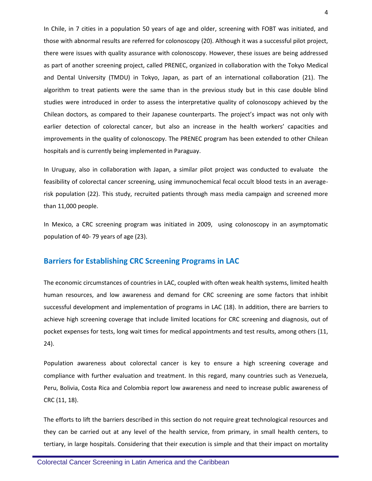In Chile, in 7 cities in a population 50 years of age and older, screening with FOBT was initiated, and those with abnormal results are referred for colonoscopy (20). Although it was a successful pilot project, there were issues with quality assurance with colonoscopy. However, these issues are being addressed as part of another screening project, called PRENEC, organized in collaboration with the Tokyo Medical and Dental University (TMDU) in Tokyo, Japan, as part of an international collaboration (21). The algorithm to treat patients were the same than in the previous study but in this case double blind studies were introduced in order to assess the interpretative quality of colonoscopy achieved by the Chilean doctors, as compared to their Japanese counterparts. The project's impact was not only with earlier detection of colorectal cancer, but also an increase in the health workers' capacities and improvements in the quality of colonoscopy. The PRENEC program has been extended to other Chilean hospitals and is currently being implemented in Paraguay.

In Uruguay, also in collaboration with Japan, a similar pilot project was conducted to evaluate the feasibility of colorectal cancer screening, using immunochemical fecal occult blood tests in an averagerisk population (22). This study, recruited patients through mass media campaign and screened more than 11,000 people.

In Mexico, a CRC screening program was initiated in 2009, using colonoscopy in an asymptomatic population of 40- 79 years of age (23).

#### **Barriers for Establishing CRC Screening Programs in LAC**

The economic circumstances of countries in LAC, coupled with often weak health systems, limited health human resources, and low awareness and demand for CRC screening are some factors that inhibit successful development and implementation of programs in LAC (18). In addition, there are barriers to achieve high screening coverage that include limited locations for CRC screening and diagnosis, out of pocket expenses for tests, long wait times for medical appointments and test results, among others (11, 24).

Population awareness about colorectal cancer is key to ensure a high screening coverage and compliance with further evaluation and treatment. In this regard, many countries such as Venezuela, Peru, Bolivia, Costa Rica and Colombia report low awareness and need to increase public awareness of CRC (11, 18).

The efforts to lift the barriers described in this section do not require great technological resources and they can be carried out at any level of the health service, from primary, in small health centers, to tertiary, in large hospitals. Considering that their execution is simple and that their impact on mortality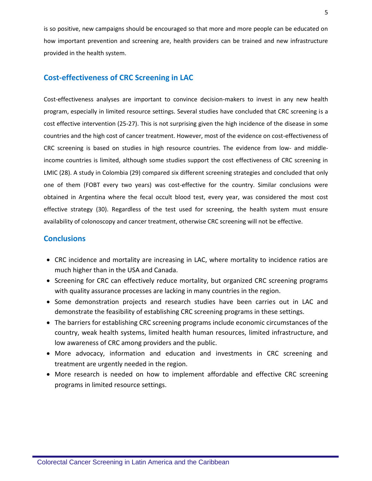is so positive, new campaigns should be encouraged so that more and more people can be educated on how important prevention and screening are, health providers can be trained and new infrastructure provided in the health system.

# **Cost-effectiveness of CRC Screening in LAC**

Cost-effectiveness analyses are important to convince decision-makers to invest in any new health program, especially in limited resource settings. Several studies have concluded that CRC screening is a cost effective intervention (25-27). This is not surprising given the high incidence of the disease in some countries and the high cost of cancer treatment. However, most of the evidence on cost-effectiveness of CRC screening is based on studies in high resource countries. The evidence from low- and middleincome countries is limited, although some studies support the cost effectiveness of CRC screening in LMIC (28). A study in Colombia (29) compared six different screening strategies and concluded that only one of them (FOBT every two years) was cost-effective for the country. Similar conclusions were obtained in Argentina where the fecal occult blood test, every year, was considered the most cost effective strategy (30). Regardless of the test used for screening, the health system must ensure availability of colonoscopy and cancer treatment, otherwise CRC screening will not be effective.

# **Conclusions**

- CRC incidence and mortality are increasing in LAC, where mortality to incidence ratios are much higher than in the USA and Canada.
- Screening for CRC can effectively reduce mortality, but organized CRC screening programs with quality assurance processes are lacking in many countries in the region.
- Some demonstration projects and research studies have been carries out in LAC and demonstrate the feasibility of establishing CRC screening programs in these settings.
- The barriers for establishing CRC screening programs include economic circumstances of the country, weak health systems, limited health human resources, limited infrastructure, and low awareness of CRC among providers and the public.
- More advocacy, information and education and investments in CRC screening and treatment are urgently needed in the region.
- More research is needed on how to implement affordable and effective CRC screening programs in limited resource settings.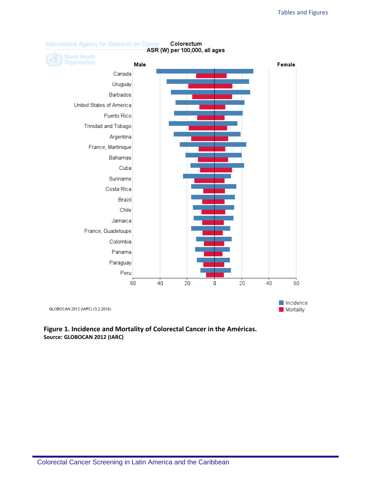

# **Figure 1. Incidence and Mortality of Colorectal Cancer in the Américas. Source: GLOBOCAN 2012 (IARC)**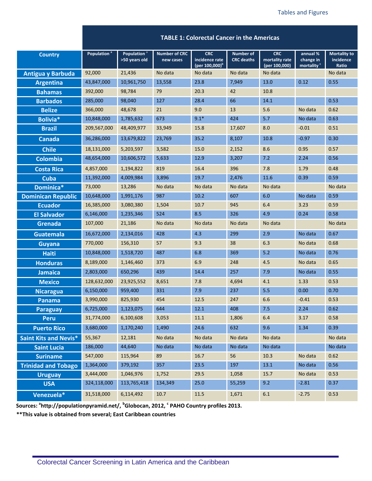|                              |                         |                                          |                                   | <b>TABLE 1: Colorectal Cancer in the Americas</b>          |                                       |                                               |                                                 |                                           |
|------------------------------|-------------------------|------------------------------------------|-----------------------------------|------------------------------------------------------------|---------------------------------------|-----------------------------------------------|-------------------------------------------------|-------------------------------------------|
| <b>Country</b>               | Population <sup>®</sup> | Population <sup>a</sup><br>>50 years old | <b>Number of CRC</b><br>new cases | <b>CRC</b><br>incidence rate<br>(per 100,000) <sup>b</sup> | <b>Number of</b><br><b>CRC</b> deaths | <b>CRC</b><br>mortality rate<br>(per 100,000) | annual %<br>change in<br>mortality <sup>c</sup> | <b>Mortality to</b><br>incidence<br>Ratio |
| <b>Antigua y Barbuda</b>     | 92,000                  | 21,436                                   | No data                           | No data                                                    | No data                               | No data                                       |                                                 | No data                                   |
| <b>Argentina</b>             | 43,847,000              | 10,961,750                               | 13,558                            | 23.8                                                       | 7,949                                 | 13.0                                          | 0.12                                            | 0.55                                      |
| <b>Bahamas</b>               | 392,000                 | 98,784                                   | 79                                | 20.3                                                       | 42                                    | 10.8                                          |                                                 |                                           |
| <b>Barbados</b>              | 285,000                 | 98,040                                   | 127                               | 28.4                                                       | 66                                    | 14.1                                          |                                                 | 0.53                                      |
| <b>Belize</b>                | 366,000                 | 48,678                                   | 21                                | 9.0                                                        | 13                                    | 5.6                                           | No data                                         | 0.62                                      |
| Bolivia*                     | 10,848,000              | 1,785,632                                | 673                               | $9.1*$                                                     | 424                                   | 5.7                                           | No data                                         | 0.63                                      |
| <b>Brazil</b>                | 209,567,000             | 48,409,977                               | 33,949                            | 15.8                                                       | 17,607                                | 8.0                                           | $-0.01$                                         | 0.51                                      |
| <b>Canada</b>                | 36,286,000              | 13,679,822                               | 23,769                            | 35.2                                                       | 8,107                                 | 10.8                                          | $-0.97$                                         | 0.30                                      |
| <b>Chile</b>                 | 18,131,000              | 5,203,597                                | 3,582                             | 15.0                                                       | 2,152                                 | 8.6                                           | 0.95                                            | 0.57                                      |
| <b>Colombia</b>              | 48,654,000              | 10,606,572                               | 5,633                             | 12.9                                                       | 3,207                                 | 7.2                                           | 2.24                                            | 0.56                                      |
| <b>Costa Rica</b>            | 4,857,000               | 1,194,822                                | 819                               | 16.4                                                       | 396                                   | 7.8                                           | 1.79                                            | 0.48                                      |
| <b>Cuba</b>                  | 11,392,000              | 4,009,984                                | 3,896                             | 19.7                                                       | 2,476                                 | 11.6                                          | 0.39                                            | 0.59                                      |
| Dominica*                    | 73,000                  | 13,286                                   | No data                           | No data                                                    | No data                               | No data                                       |                                                 | No data                                   |
| <b>Dominican Republic</b>    | 10,648,000              | 1,991,176                                | 987                               | 10.2                                                       | 607                                   | 6.0                                           | No data                                         | 0.59                                      |
| <b>Ecuador</b>               | 16,385,000              | 3,080,380                                | 1,504                             | 10.7                                                       | 945                                   | 6.4                                           | 3.23                                            | 0.59                                      |
| <b>El Salvador</b>           | 6,146,000               | 1,235,346                                | 524                               | 8.5                                                        | 326                                   | 4.9                                           | 0.24                                            | 0.58                                      |
| <b>Grenada</b>               | 107,000                 | 21,186                                   | No data                           | No data                                                    | No data                               | No data                                       |                                                 | No data                                   |
| <b>Guatemala</b>             | 16,672,000              | 2,134,016                                | 428                               | 4.3                                                        | 299                                   | 2.9                                           | No data                                         | 0.67                                      |
| <b>Guyana</b>                | 770,000                 | 156,310                                  | 57                                | 9.3                                                        | 38                                    | 6.3                                           | No data                                         | 0.68                                      |
| <b>Haiti</b>                 | 10,848,000              | 1,518,720                                | 487                               | 6.8                                                        | 369                                   | 5.2                                           | No data                                         | 0.76                                      |
| <b>Honduras</b>              | 8,189,000               | 1,146,460                                | 373                               | 6.9                                                        | 248                                   | 4.5                                           | No data                                         | 0.65                                      |
| <b>Jamaica</b>               | 2,803,000               | 650,296                                  | 439                               | 14.4                                                       | 257                                   | 7.9                                           | No data                                         | 0.55                                      |
| <b>Mexico</b>                | 128,632,000             | 23,925,552                               | 8,651                             | 7.8                                                        | 4,694                                 | 4.1                                           | 1.33                                            | 0.53                                      |
| <b>Nicaragua</b>             | 6,150,000               | 959,400                                  | 331                               | 7.9                                                        | 237                                   | 5.5                                           | 0.00                                            | 0.70                                      |
| Panama                       | 3,990,000               | 825,930                                  | 454                               | 12.5                                                       | 247                                   | 6.6                                           | $-0.41$                                         | 0.53                                      |
| <b>Paraguay</b>              | 6,725,000               | 1,123,075                                | 644                               | 12.1                                                       | 408                                   | 7.5                                           | 2.24                                            | 0.62                                      |
| <b>Peru</b>                  | 31,774,000              | 6,100,608                                | 3,053                             | 11.1                                                       | 1,806                                 | $6.4\,$                                       | 3.17                                            | 0.58                                      |
| <b>Puerto Rico</b>           | 3,680,000               | 1,170,240                                | 1,490                             | 24.6                                                       | 632                                   | 9.6                                           | 1.34                                            | 0.39                                      |
| <b>Saint Kits and Nevis*</b> | 55,367                  | 12,181                                   | No data                           | No data                                                    | No data                               | No data                                       |                                                 | No data                                   |
| <b>Saint Lucia</b>           | 186,000                 | 44,640                                   | No data                           | No data                                                    | No data                               | No data                                       |                                                 | No data                                   |
| <b>Suriname</b>              | 547,000                 | 115,964                                  | 89                                | 16.7                                                       | 56                                    | 10.3                                          | No data                                         | 0.62                                      |
| <b>Trinidad and Tobago</b>   | 1,364,000               | 379,192                                  | 357                               | 23.5                                                       | 197                                   | 13.1                                          | No data                                         | 0.56                                      |
| <b>Uruguay</b>               | 3,444,000               | 1,046,976                                | 1,752                             | 29.5                                                       | 1,058                                 | 15.7                                          | No data                                         | 0.53                                      |
| <b>USA</b>                   | 324,118,000             | 113,765,418                              | 134,349                           | 25.0                                                       | 55,259                                | 9.2                                           | $-2.81$                                         | 0.37                                      |
| Venezuela*                   | 31,518,000              | 6,114,492                                | $10.7\,$                          | 11.5                                                       | 1,671                                 | $6.1\,$                                       | $-2.75$                                         | 0.53                                      |

**Sources: <sup>a</sup> http://populationpyramid.net/, <sup>b</sup> Globocan, 2012, <sup>c</sup> PAHO Country profiles 2013.** 

**\*\*This value is obtained from several; East Caribbean countries**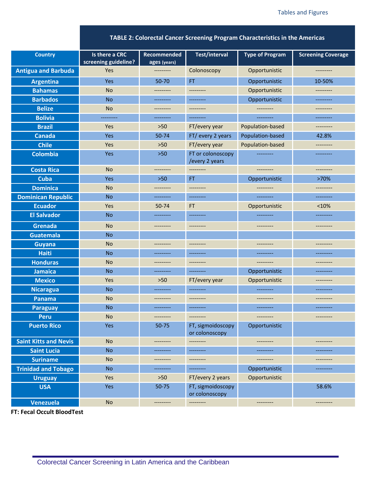**TABLE 2: Colorectal Cancer Screening Program Characteristics in the Americas**

| screening guideline?<br>ages (years)<br><b>Antigua and Barbuda</b><br>Colonoscopy<br>Yes<br>Opportunistic<br>----------<br>----------<br><b>Argentina</b><br>50-70<br>FT.<br>10-50%<br>Yes<br>Opportunistic<br><b>Bahamas</b><br><b>No</b><br>Opportunistic<br>---------<br>---------<br>----------<br><b>Barbados</b><br><b>No</b><br>Opportunistic<br>----------<br>----------<br>----------<br><b>No</b><br><b>Belize</b><br>---------<br>---------<br>---------<br>---------<br><b>Bolivia</b><br>----------<br>----------<br>---------<br>----------<br>---------<br><b>Brazil</b><br>$>50$<br>FT/every year<br>Population-based<br>Yes<br>---------<br>50-74<br>FT/ every 2 years<br>Population-based<br>42.8%<br>Canada<br>Yes<br><b>Chile</b><br>Yes<br>$>50$<br>FT/every year<br>Population-based<br>----------<br><b>Colombia</b><br>FT or colonoscopy<br>Yes<br>$>50$<br>---------<br>----------<br>/every 2 years<br><b>Costa Rica</b><br><b>No</b><br>----------<br>---------<br>---------<br>---------<br>Cuba<br>Yes<br>FT.<br>>70%<br>$>50$<br>Opportunistic<br><b>Dominica</b><br><b>No</b><br>---------<br>---------<br>---------<br>---------<br><b>Dominican Republic</b><br><b>No</b><br>----------<br>----------<br>----------<br>----------<br><b>Ecuador</b><br>Yes<br>50-74<br>Opportunistic<br>< 10%<br>FT.<br><b>El Salvador</b><br><b>No</b><br>----------<br>----------<br>----------<br>----------<br>Grenada<br><b>No</b><br>---------<br>----------<br>----------<br>----------<br>Guatemala<br><b>No</b><br><b>No</b><br><b>Guyana</b><br>----------<br>----------<br>---------<br>----------<br><b>Haiti</b><br><b>No</b><br>----------<br>----------<br>---------<br>----------<br><b>Honduras</b><br><b>No</b><br>---------<br>---------<br>----------<br>----------<br><b>Jamaica</b><br><b>No</b><br>Opportunistic<br>----------<br>---------<br>---------<br><b>Mexico</b><br>Yes<br>$>50$<br>FT/every year<br>Opportunistic<br>---------<br><b>No</b><br><b>Nicaragua</b><br>----------<br>----------<br>----------<br>----------<br><b>No</b><br>Panama<br>----------<br>---------<br>---------<br>---------<br><b>No</b><br><b>Paraguay</b><br>----------<br>----------<br>---------<br>---------<br><b>No</b><br><b>Peru</b><br>---------<br>---------<br>---------<br>---------<br><b>Puerto Rico</b><br>Yes<br>50-75<br>FT, sigmoidoscopy<br>Opportunistic<br>or colonoscopy<br><b>Saint Kitts and Nevis</b><br>No<br>----------<br>---------<br>---------<br>----------<br><b>Saint Lucia</b><br><b>No</b><br>---------<br>----------<br>----------<br>---------<br><b>Suriname</b><br>No<br>---------<br>----------<br>---------<br>---------<br><b>Trinidad and Tobago</b><br><b>No</b><br>Opportunistic<br>----------<br>----------<br>----------<br>Yes<br>FT/every 2 years<br>Opportunistic<br><b>Uruguay</b><br>$>50$<br><b>USA</b><br>FT, sigmoidoscopy<br>58.6%<br>Yes<br>50-75<br>or colonoscopy | <b>Country</b> | Is there a CRC | Recommended | <b>Test/interval</b> | <b>Type of Program</b> | <b>Screening Coverage</b> |
|---------------------------------------------------------------------------------------------------------------------------------------------------------------------------------------------------------------------------------------------------------------------------------------------------------------------------------------------------------------------------------------------------------------------------------------------------------------------------------------------------------------------------------------------------------------------------------------------------------------------------------------------------------------------------------------------------------------------------------------------------------------------------------------------------------------------------------------------------------------------------------------------------------------------------------------------------------------------------------------------------------------------------------------------------------------------------------------------------------------------------------------------------------------------------------------------------------------------------------------------------------------------------------------------------------------------------------------------------------------------------------------------------------------------------------------------------------------------------------------------------------------------------------------------------------------------------------------------------------------------------------------------------------------------------------------------------------------------------------------------------------------------------------------------------------------------------------------------------------------------------------------------------------------------------------------------------------------------------------------------------------------------------------------------------------------------------------------------------------------------------------------------------------------------------------------------------------------------------------------------------------------------------------------------------------------------------------------------------------------------------------------------------------------------------------------------------------------------------------------------------------------------------------------------------------------------------------------------------------------------------------------------------------------------------------------------------------------------------------------------------------------------------------------------------------------------------------------------------------------------------------------------------------------------------------------------------------|----------------|----------------|-------------|----------------------|------------------------|---------------------------|
|                                                                                                                                                                                                                                                                                                                                                                                                                                                                                                                                                                                                                                                                                                                                                                                                                                                                                                                                                                                                                                                                                                                                                                                                                                                                                                                                                                                                                                                                                                                                                                                                                                                                                                                                                                                                                                                                                                                                                                                                                                                                                                                                                                                                                                                                                                                                                                                                                                                                                                                                                                                                                                                                                                                                                                                                                                                                                                                                                         |                |                |             |                      |                        |                           |
|                                                                                                                                                                                                                                                                                                                                                                                                                                                                                                                                                                                                                                                                                                                                                                                                                                                                                                                                                                                                                                                                                                                                                                                                                                                                                                                                                                                                                                                                                                                                                                                                                                                                                                                                                                                                                                                                                                                                                                                                                                                                                                                                                                                                                                                                                                                                                                                                                                                                                                                                                                                                                                                                                                                                                                                                                                                                                                                                                         |                |                |             |                      |                        |                           |
|                                                                                                                                                                                                                                                                                                                                                                                                                                                                                                                                                                                                                                                                                                                                                                                                                                                                                                                                                                                                                                                                                                                                                                                                                                                                                                                                                                                                                                                                                                                                                                                                                                                                                                                                                                                                                                                                                                                                                                                                                                                                                                                                                                                                                                                                                                                                                                                                                                                                                                                                                                                                                                                                                                                                                                                                                                                                                                                                                         |                |                |             |                      |                        |                           |
|                                                                                                                                                                                                                                                                                                                                                                                                                                                                                                                                                                                                                                                                                                                                                                                                                                                                                                                                                                                                                                                                                                                                                                                                                                                                                                                                                                                                                                                                                                                                                                                                                                                                                                                                                                                                                                                                                                                                                                                                                                                                                                                                                                                                                                                                                                                                                                                                                                                                                                                                                                                                                                                                                                                                                                                                                                                                                                                                                         |                |                |             |                      |                        |                           |
|                                                                                                                                                                                                                                                                                                                                                                                                                                                                                                                                                                                                                                                                                                                                                                                                                                                                                                                                                                                                                                                                                                                                                                                                                                                                                                                                                                                                                                                                                                                                                                                                                                                                                                                                                                                                                                                                                                                                                                                                                                                                                                                                                                                                                                                                                                                                                                                                                                                                                                                                                                                                                                                                                                                                                                                                                                                                                                                                                         |                |                |             |                      |                        |                           |
|                                                                                                                                                                                                                                                                                                                                                                                                                                                                                                                                                                                                                                                                                                                                                                                                                                                                                                                                                                                                                                                                                                                                                                                                                                                                                                                                                                                                                                                                                                                                                                                                                                                                                                                                                                                                                                                                                                                                                                                                                                                                                                                                                                                                                                                                                                                                                                                                                                                                                                                                                                                                                                                                                                                                                                                                                                                                                                                                                         |                |                |             |                      |                        |                           |
|                                                                                                                                                                                                                                                                                                                                                                                                                                                                                                                                                                                                                                                                                                                                                                                                                                                                                                                                                                                                                                                                                                                                                                                                                                                                                                                                                                                                                                                                                                                                                                                                                                                                                                                                                                                                                                                                                                                                                                                                                                                                                                                                                                                                                                                                                                                                                                                                                                                                                                                                                                                                                                                                                                                                                                                                                                                                                                                                                         |                |                |             |                      |                        |                           |
|                                                                                                                                                                                                                                                                                                                                                                                                                                                                                                                                                                                                                                                                                                                                                                                                                                                                                                                                                                                                                                                                                                                                                                                                                                                                                                                                                                                                                                                                                                                                                                                                                                                                                                                                                                                                                                                                                                                                                                                                                                                                                                                                                                                                                                                                                                                                                                                                                                                                                                                                                                                                                                                                                                                                                                                                                                                                                                                                                         |                |                |             |                      |                        |                           |
|                                                                                                                                                                                                                                                                                                                                                                                                                                                                                                                                                                                                                                                                                                                                                                                                                                                                                                                                                                                                                                                                                                                                                                                                                                                                                                                                                                                                                                                                                                                                                                                                                                                                                                                                                                                                                                                                                                                                                                                                                                                                                                                                                                                                                                                                                                                                                                                                                                                                                                                                                                                                                                                                                                                                                                                                                                                                                                                                                         |                |                |             |                      |                        |                           |
|                                                                                                                                                                                                                                                                                                                                                                                                                                                                                                                                                                                                                                                                                                                                                                                                                                                                                                                                                                                                                                                                                                                                                                                                                                                                                                                                                                                                                                                                                                                                                                                                                                                                                                                                                                                                                                                                                                                                                                                                                                                                                                                                                                                                                                                                                                                                                                                                                                                                                                                                                                                                                                                                                                                                                                                                                                                                                                                                                         |                |                |             |                      |                        |                           |
|                                                                                                                                                                                                                                                                                                                                                                                                                                                                                                                                                                                                                                                                                                                                                                                                                                                                                                                                                                                                                                                                                                                                                                                                                                                                                                                                                                                                                                                                                                                                                                                                                                                                                                                                                                                                                                                                                                                                                                                                                                                                                                                                                                                                                                                                                                                                                                                                                                                                                                                                                                                                                                                                                                                                                                                                                                                                                                                                                         |                |                |             |                      |                        |                           |
|                                                                                                                                                                                                                                                                                                                                                                                                                                                                                                                                                                                                                                                                                                                                                                                                                                                                                                                                                                                                                                                                                                                                                                                                                                                                                                                                                                                                                                                                                                                                                                                                                                                                                                                                                                                                                                                                                                                                                                                                                                                                                                                                                                                                                                                                                                                                                                                                                                                                                                                                                                                                                                                                                                                                                                                                                                                                                                                                                         |                |                |             |                      |                        |                           |
|                                                                                                                                                                                                                                                                                                                                                                                                                                                                                                                                                                                                                                                                                                                                                                                                                                                                                                                                                                                                                                                                                                                                                                                                                                                                                                                                                                                                                                                                                                                                                                                                                                                                                                                                                                                                                                                                                                                                                                                                                                                                                                                                                                                                                                                                                                                                                                                                                                                                                                                                                                                                                                                                                                                                                                                                                                                                                                                                                         |                |                |             |                      |                        |                           |
|                                                                                                                                                                                                                                                                                                                                                                                                                                                                                                                                                                                                                                                                                                                                                                                                                                                                                                                                                                                                                                                                                                                                                                                                                                                                                                                                                                                                                                                                                                                                                                                                                                                                                                                                                                                                                                                                                                                                                                                                                                                                                                                                                                                                                                                                                                                                                                                                                                                                                                                                                                                                                                                                                                                                                                                                                                                                                                                                                         |                |                |             |                      |                        |                           |
|                                                                                                                                                                                                                                                                                                                                                                                                                                                                                                                                                                                                                                                                                                                                                                                                                                                                                                                                                                                                                                                                                                                                                                                                                                                                                                                                                                                                                                                                                                                                                                                                                                                                                                                                                                                                                                                                                                                                                                                                                                                                                                                                                                                                                                                                                                                                                                                                                                                                                                                                                                                                                                                                                                                                                                                                                                                                                                                                                         |                |                |             |                      |                        |                           |
|                                                                                                                                                                                                                                                                                                                                                                                                                                                                                                                                                                                                                                                                                                                                                                                                                                                                                                                                                                                                                                                                                                                                                                                                                                                                                                                                                                                                                                                                                                                                                                                                                                                                                                                                                                                                                                                                                                                                                                                                                                                                                                                                                                                                                                                                                                                                                                                                                                                                                                                                                                                                                                                                                                                                                                                                                                                                                                                                                         |                |                |             |                      |                        |                           |
|                                                                                                                                                                                                                                                                                                                                                                                                                                                                                                                                                                                                                                                                                                                                                                                                                                                                                                                                                                                                                                                                                                                                                                                                                                                                                                                                                                                                                                                                                                                                                                                                                                                                                                                                                                                                                                                                                                                                                                                                                                                                                                                                                                                                                                                                                                                                                                                                                                                                                                                                                                                                                                                                                                                                                                                                                                                                                                                                                         |                |                |             |                      |                        |                           |
|                                                                                                                                                                                                                                                                                                                                                                                                                                                                                                                                                                                                                                                                                                                                                                                                                                                                                                                                                                                                                                                                                                                                                                                                                                                                                                                                                                                                                                                                                                                                                                                                                                                                                                                                                                                                                                                                                                                                                                                                                                                                                                                                                                                                                                                                                                                                                                                                                                                                                                                                                                                                                                                                                                                                                                                                                                                                                                                                                         |                |                |             |                      |                        |                           |
|                                                                                                                                                                                                                                                                                                                                                                                                                                                                                                                                                                                                                                                                                                                                                                                                                                                                                                                                                                                                                                                                                                                                                                                                                                                                                                                                                                                                                                                                                                                                                                                                                                                                                                                                                                                                                                                                                                                                                                                                                                                                                                                                                                                                                                                                                                                                                                                                                                                                                                                                                                                                                                                                                                                                                                                                                                                                                                                                                         |                |                |             |                      |                        |                           |
|                                                                                                                                                                                                                                                                                                                                                                                                                                                                                                                                                                                                                                                                                                                                                                                                                                                                                                                                                                                                                                                                                                                                                                                                                                                                                                                                                                                                                                                                                                                                                                                                                                                                                                                                                                                                                                                                                                                                                                                                                                                                                                                                                                                                                                                                                                                                                                                                                                                                                                                                                                                                                                                                                                                                                                                                                                                                                                                                                         |                |                |             |                      |                        |                           |
|                                                                                                                                                                                                                                                                                                                                                                                                                                                                                                                                                                                                                                                                                                                                                                                                                                                                                                                                                                                                                                                                                                                                                                                                                                                                                                                                                                                                                                                                                                                                                                                                                                                                                                                                                                                                                                                                                                                                                                                                                                                                                                                                                                                                                                                                                                                                                                                                                                                                                                                                                                                                                                                                                                                                                                                                                                                                                                                                                         |                |                |             |                      |                        |                           |
|                                                                                                                                                                                                                                                                                                                                                                                                                                                                                                                                                                                                                                                                                                                                                                                                                                                                                                                                                                                                                                                                                                                                                                                                                                                                                                                                                                                                                                                                                                                                                                                                                                                                                                                                                                                                                                                                                                                                                                                                                                                                                                                                                                                                                                                                                                                                                                                                                                                                                                                                                                                                                                                                                                                                                                                                                                                                                                                                                         |                |                |             |                      |                        |                           |
|                                                                                                                                                                                                                                                                                                                                                                                                                                                                                                                                                                                                                                                                                                                                                                                                                                                                                                                                                                                                                                                                                                                                                                                                                                                                                                                                                                                                                                                                                                                                                                                                                                                                                                                                                                                                                                                                                                                                                                                                                                                                                                                                                                                                                                                                                                                                                                                                                                                                                                                                                                                                                                                                                                                                                                                                                                                                                                                                                         |                |                |             |                      |                        |                           |
|                                                                                                                                                                                                                                                                                                                                                                                                                                                                                                                                                                                                                                                                                                                                                                                                                                                                                                                                                                                                                                                                                                                                                                                                                                                                                                                                                                                                                                                                                                                                                                                                                                                                                                                                                                                                                                                                                                                                                                                                                                                                                                                                                                                                                                                                                                                                                                                                                                                                                                                                                                                                                                                                                                                                                                                                                                                                                                                                                         |                |                |             |                      |                        |                           |
|                                                                                                                                                                                                                                                                                                                                                                                                                                                                                                                                                                                                                                                                                                                                                                                                                                                                                                                                                                                                                                                                                                                                                                                                                                                                                                                                                                                                                                                                                                                                                                                                                                                                                                                                                                                                                                                                                                                                                                                                                                                                                                                                                                                                                                                                                                                                                                                                                                                                                                                                                                                                                                                                                                                                                                                                                                                                                                                                                         |                |                |             |                      |                        |                           |
|                                                                                                                                                                                                                                                                                                                                                                                                                                                                                                                                                                                                                                                                                                                                                                                                                                                                                                                                                                                                                                                                                                                                                                                                                                                                                                                                                                                                                                                                                                                                                                                                                                                                                                                                                                                                                                                                                                                                                                                                                                                                                                                                                                                                                                                                                                                                                                                                                                                                                                                                                                                                                                                                                                                                                                                                                                                                                                                                                         |                |                |             |                      |                        |                           |
|                                                                                                                                                                                                                                                                                                                                                                                                                                                                                                                                                                                                                                                                                                                                                                                                                                                                                                                                                                                                                                                                                                                                                                                                                                                                                                                                                                                                                                                                                                                                                                                                                                                                                                                                                                                                                                                                                                                                                                                                                                                                                                                                                                                                                                                                                                                                                                                                                                                                                                                                                                                                                                                                                                                                                                                                                                                                                                                                                         |                |                |             |                      |                        |                           |
|                                                                                                                                                                                                                                                                                                                                                                                                                                                                                                                                                                                                                                                                                                                                                                                                                                                                                                                                                                                                                                                                                                                                                                                                                                                                                                                                                                                                                                                                                                                                                                                                                                                                                                                                                                                                                                                                                                                                                                                                                                                                                                                                                                                                                                                                                                                                                                                                                                                                                                                                                                                                                                                                                                                                                                                                                                                                                                                                                         |                |                |             |                      |                        |                           |
|                                                                                                                                                                                                                                                                                                                                                                                                                                                                                                                                                                                                                                                                                                                                                                                                                                                                                                                                                                                                                                                                                                                                                                                                                                                                                                                                                                                                                                                                                                                                                                                                                                                                                                                                                                                                                                                                                                                                                                                                                                                                                                                                                                                                                                                                                                                                                                                                                                                                                                                                                                                                                                                                                                                                                                                                                                                                                                                                                         |                |                |             |                      |                        |                           |
|                                                                                                                                                                                                                                                                                                                                                                                                                                                                                                                                                                                                                                                                                                                                                                                                                                                                                                                                                                                                                                                                                                                                                                                                                                                                                                                                                                                                                                                                                                                                                                                                                                                                                                                                                                                                                                                                                                                                                                                                                                                                                                                                                                                                                                                                                                                                                                                                                                                                                                                                                                                                                                                                                                                                                                                                                                                                                                                                                         |                |                |             |                      |                        |                           |
|                                                                                                                                                                                                                                                                                                                                                                                                                                                                                                                                                                                                                                                                                                                                                                                                                                                                                                                                                                                                                                                                                                                                                                                                                                                                                                                                                                                                                                                                                                                                                                                                                                                                                                                                                                                                                                                                                                                                                                                                                                                                                                                                                                                                                                                                                                                                                                                                                                                                                                                                                                                                                                                                                                                                                                                                                                                                                                                                                         |                |                |             |                      |                        |                           |
|                                                                                                                                                                                                                                                                                                                                                                                                                                                                                                                                                                                                                                                                                                                                                                                                                                                                                                                                                                                                                                                                                                                                                                                                                                                                                                                                                                                                                                                                                                                                                                                                                                                                                                                                                                                                                                                                                                                                                                                                                                                                                                                                                                                                                                                                                                                                                                                                                                                                                                                                                                                                                                                                                                                                                                                                                                                                                                                                                         |                |                |             |                      |                        |                           |
|                                                                                                                                                                                                                                                                                                                                                                                                                                                                                                                                                                                                                                                                                                                                                                                                                                                                                                                                                                                                                                                                                                                                                                                                                                                                                                                                                                                                                                                                                                                                                                                                                                                                                                                                                                                                                                                                                                                                                                                                                                                                                                                                                                                                                                                                                                                                                                                                                                                                                                                                                                                                                                                                                                                                                                                                                                                                                                                                                         |                |                |             |                      |                        |                           |
|                                                                                                                                                                                                                                                                                                                                                                                                                                                                                                                                                                                                                                                                                                                                                                                                                                                                                                                                                                                                                                                                                                                                                                                                                                                                                                                                                                                                                                                                                                                                                                                                                                                                                                                                                                                                                                                                                                                                                                                                                                                                                                                                                                                                                                                                                                                                                                                                                                                                                                                                                                                                                                                                                                                                                                                                                                                                                                                                                         |                |                |             |                      |                        |                           |
|                                                                                                                                                                                                                                                                                                                                                                                                                                                                                                                                                                                                                                                                                                                                                                                                                                                                                                                                                                                                                                                                                                                                                                                                                                                                                                                                                                                                                                                                                                                                                                                                                                                                                                                                                                                                                                                                                                                                                                                                                                                                                                                                                                                                                                                                                                                                                                                                                                                                                                                                                                                                                                                                                                                                                                                                                                                                                                                                                         |                |                |             |                      |                        |                           |
|                                                                                                                                                                                                                                                                                                                                                                                                                                                                                                                                                                                                                                                                                                                                                                                                                                                                                                                                                                                                                                                                                                                                                                                                                                                                                                                                                                                                                                                                                                                                                                                                                                                                                                                                                                                                                                                                                                                                                                                                                                                                                                                                                                                                                                                                                                                                                                                                                                                                                                                                                                                                                                                                                                                                                                                                                                                                                                                                                         | Venezuela      | $\mathsf{No}$  | ---------   | ---------            | ---------              | ---------                 |

**FT: Fecal Occult BloodTest**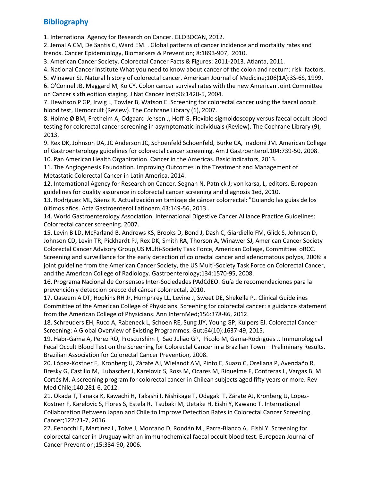# **Bibliography**

1. International Agency for Research on Cancer. GLOBOCAN, 2012.

2. Jemal A CM, De Santis C, Ward EM. . Global patterns of cancer incidence and mortality rates and trends. Cancer Epidemiology, Biomarkers & Prevention; 8:1893-907, 2010.

3. American Cancer Society. Colorectal Cancer Facts & Figures: 2011-2013. Atlanta, 2011.

4. National Cancer Institute What you need to know about cancer of the colon and rectum: risk factors.

5. Winawer SJ. Natural history of colorectal cancer. American Journal of Medicine;106(1A):3S-6S, 1999.

6. O'Connel JB, Maggard M, Ko CY. Colon cancer survival rates with the new American Joint Committee on Cancer sixth edition staging. J Nat Cancer Inst;96:1420-5, 2004.

7. Hewitson P GP, Irwig L, Towler B, Watson E. Screening for colorectal cancer using the faecal occult blood test, Hemoccult (Review). The Cochrane Library (1), 2007.

8. Holme Ø BM, Fretheim A, Odgaard-Jensen J, Hoff G. Flexible sigmoidoscopy versus faecal occult blood testing for colorectal cancer screening in asymptomatic individuals (Review). The Cochrane Library (9), 2013.

9. Rex DK, Johnson DA, JC Anderson JC, Schoenfeld Schoenfeld, Burke CA, Inadomi JM. American College of Gastroenterology guidelines for colorectal cancer screening. Am J Gastroenterol.104:739-50, 2008. 10. Pan American Health Organization. Cancer in the Americas. Basic Indicators, 2013.

11. The Angiogenesis Foundation. Improving Outcomes in the Treatment and Management of Metastatic Colorectal Cancer in Latin America, 2014.

12. International Agency for Research on Cancer. Segnan N, Patnick J; von karsa, L, editors. European guidelines for quality assurance in colorectal cancer screening and diagnosis 1ed, 2010.

13. Rodríguez ML, Sáenz R. Actualización en tamizaje de cáncer colorrectal: "Guiando las guías de los últimos años. Acta Gastroenterol Latinoam;43:149-56, 2013 .

14. World Gastroenterology Association. International Digestive Cancer Alliance Practice Guidelines: Colorrectal cancer screening. 2007.

15. Levin B LD, McFarland B, Andrews KS, Brooks D, Bond J, Dash C, Giardiello FM, Glick S, Johnson D, Johnson CD, Levin TR, Pickhardt PJ, Rex DK, Smith RA, Thorson A, Winawer SJ, American Cancer Society Colorectal Cancer Advisory Group,US Multi-Society Task Force, American College, Committee. oRCC. Screening and surveillance for the early detection of colorectal cancer and adenomatous polyps, 2008: a joint guideline from the American Cancer Society, the US Multi-Society Task Force on Colorectal Cancer, and the American College of Radiology. Gastroenterology;134:1570-95, 2008.

16. Programa Nacional de Consensos Inter-Sociedades PAdCdEO. Guía de recomendaciones para la prevención y detección precoz del cáncer colorrectal, 2010.

17. Qaseem A DT, Hopkins RH Jr, Humphrey LL, Levine J, Sweet DE, Shekelle P,. Clinical Guidelines Committee of the American College of Physicians. Screening for colorectal cancer: a guidance statement from the American College of Physicians. Ann InternMed;156:378-86, 2012.

18. Schreuders EH, Ruco A, Rabeneck L, Schoen RE, Sung JJY, Young GP, Kuipers EJ. Colorectal Cancer Screening: A Global Overview of Existing Programmes. Gut;64(10):1637-49, 2015.

19. Habr-Gama A, Perez RO, Proscurshim I, Sao Juliao GP, Picolo M, Gama-Rodrigues J. Immunological Fecal Occult Blood Test on the Screening for Colorectal Cancer in a Brazilian Town – Preliminary Results. Brazilian Association for Colorectal Cancer Prevention, 2008.

20. López-Kostner F, Kronberg U, Zárate AJ, Wielandt AM, Pinto E, Suazo C, Orellana P, Avendaño R, Bresky G, Castillo M, Lubascher J, Karelovic S, Ross M, Ocares M, Riquelme F, Contreras L, Vargas B, M Cortés M. A screening program for colorectal cancer in Chilean subjects aged fifty years or more. Rev Med Chile;140:281-6, 2012.

21. Okada T, Tanaka K, Kawachi H, Takashi I, Nishikage T, Odagaki T, Zárate AJ, Kronberg U, López-Kostner F, Karelovic S, Flores S, Estela R, Tsubaki M, Uetake H, Eishi Y, Kawano T. International Collaboration Between Japan and Chile to Improve Detection Rates in Colorectal Cancer Screening. Cancer;122:71-7, 2016.

22. Fenocchi E, Martinez L, Tolve J, Montano D, Rondán M , Parra-Blanco A, Eishi Y. Screening for colorectal cancer in Uruguay with an immunochemical faecal occult blood test. European Journal of Cancer Prevention;15:384-90, 2006.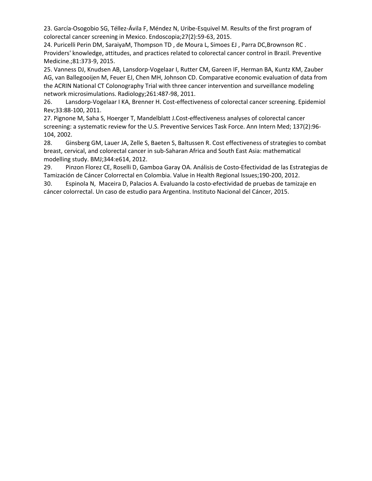23. García-Osogobio SG, Téllez-Ávila F, Méndez N, Uribe-Esquivel M. Results of the first program of colorectal cancer screening in Mexico. Endoscopia;27(2):59-63, 2015.

24. Puricelli Perin DM, SaraiyaM, Thompson TD , de Moura L, Simoes EJ , Parra DC,Brownson RC . Providers' knowledge, attitudes, and practices related to colorectal cancer control in Brazil. Preventive Medicine.;81:373-9, 2015.

25. Vanness DJ, Knudsen AB, Lansdorp-Vogelaar I, Rutter CM, Gareen IF, Herman BA, Kuntz KM, Zauber AG, van Ballegooijen M, Feuer EJ, Chen MH, Johnson CD. Comparative economic evaluation of data from the ACRIN National CT Colonography Trial with three cancer intervention and surveillance modeling network microsimulations. Radiology;261:487-98, 2011.

26. Lansdorp-Vogelaar I KA, Brenner H. Cost-effectiveness of colorectal cancer screening. Epidemiol Rev;33:88-100, 2011.

27. Pignone M, Saha S, Hoerger T, Mandelblatt J.Cost-effectiveness analyses of colorectal cancer screening: a systematic review for the U.S. Preventive Services Task Force. Ann Intern Med; 137(2):96- 104, 2002.

28. Ginsberg GM, Lauer JA, Zelle S, Baeten S, Baltussen R. Cost effectiveness of strategies to combat breast, cervical, and colorectal cancer in sub-Saharan Africa and South East Asia: mathematical modelling study. BMJ;344:e614, 2012.

29. Pinzon Florez CE, Roselli D, Gamboa Garay OA. Análisis de Costo-Efectividad de las Estrategias de Tamización de Cáncer Colorrectal en Colombia. Value in Health Regional Issues;190-200, 2012.

30. Espinola N, Maceira D, Palacios A. Evaluando la costo-efectividad de pruebas de tamizaje en cáncer colorrectal. Un caso de estudio para Argentina. Instituto Nacional del Cáncer, 2015.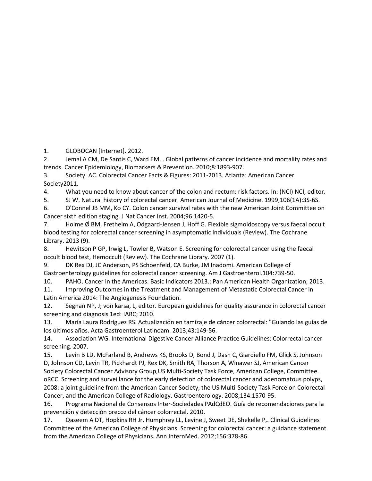1. GLOBOCAN [Internet]. 2012.

2. Jemal A CM, De Santis C, Ward EM. . Global patterns of cancer incidence and mortality rates and trends. Cancer Epidemiology, Biomarkers & Prevention. 2010;8:1893-907.

3. Society. AC. Colorectal Cancer Facts & Figures: 2011-2013. Atlanta: American Cancer Society2011.

4. What you need to know about cancer of the colon and rectum: risk factors. In: (NCI) NCI, editor.

5. SJ W. Natural history of colorectal cancer. American Journal of Medicine. 1999;106(1A):3S-6S.

6. O'Connel JB MM, Ko CY. Colon cancer survival rates with the new American Joint Committee on Cancer sixth edition staging. J Nat Cancer Inst. 2004;96:1420-5.

7. Holme Ø BM, Fretheim A, Odgaard-Jensen J, Hoff G. Flexible sigmoidoscopy versus faecal occult blood testing for colorectal cancer screening in asymptomatic individuals (Review). The Cochrane Library. 2013 (9).

8. Hewitson P GP, Irwig L, Towler B, Watson E. Screening for colorectal cancer using the faecal occult blood test, Hemoccult (Review). The Cochrane Library. 2007 (1).

9. DK Rex DJ, JC Anderson, PS Schoenfeld, CA Burke, JM Inadomi. American College of Gastroenterology guidelines for colorectal cancer screening. Am J Gastroenterol.104:739-50.

10. PAHO. Cancer in the Americas. Basic Indicators 2013.: Pan American Health Organization; 2013.

11. Improving Outcomes in the Treatment and Management of Metastatic Colorectal Cancer in Latin America 2014: The Angiogenesis Foundation.

12. Segnan NP, J; von karsa, L, editor. European guidelines for quality assurance in colorectal cancer screening and diagnosis 1ed: IARC; 2010.

13. María Laura Rodríguez RS. Actualización en tamizaje de cáncer colorrectal: "Guiando las guías de los últimos años. Acta Gastroenterol Latinoam. 2013;43:149-56.

14. Association WG. International Digestive Cancer Alliance Practice Guidelines: Colorrectal cancer screening. 2007.

15. Levin B LD, McFarland B, Andrews KS, Brooks D, Bond J, Dash C, Giardiello FM, Glick S, Johnson D, Johnson CD, Levin TR, Pickhardt PJ, Rex DK, Smith RA, Thorson A, Winawer SJ, American Cancer Society Colorectal Cancer Advisory Group,US Multi-Society Task Force, American College, Committee. oRCC. Screening and surveillance for the early detection of colorectal cancer and adenomatous polyps, 2008: a joint guideline from the American Cancer Society, the US Multi-Society Task Force on Colorectal Cancer, and the American College of Radiology. Gastroenterology. 2008;134:1570-95.

16. Programa Nacional de Consensos Inter-Sociedades PAdCdEO. Guía de recomendaciones para la prevención y detección precoz del cáncer colorrectal. 2010.

17. Qaseem A DT, Hopkins RH Jr, Humphrey LL, Levine J, Sweet DE, Shekelle P,. Clinical Guidelines Committee of the American College of Physicians. Screening for colorectal cancer: a guidance statement from the American College of Physicians. Ann InternMed. 2012;156:378-86.